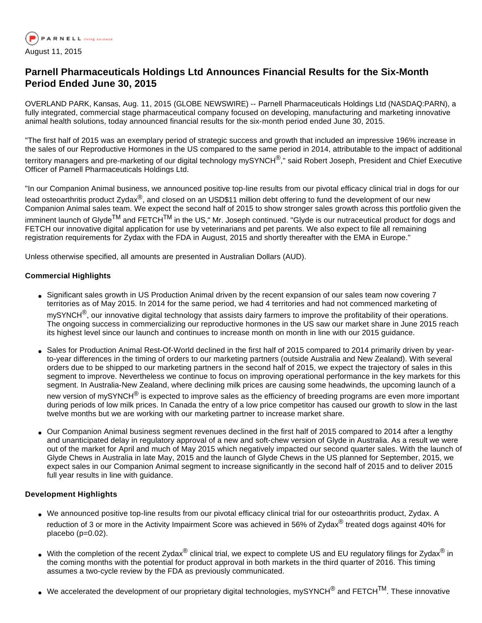

# **Parnell Pharmaceuticals Holdings Ltd Announces Financial Results for the Six-Month Period Ended June 30, 2015**

OVERLAND PARK, Kansas, Aug. 11, 2015 (GLOBE NEWSWIRE) -- Parnell Pharmaceuticals Holdings Ltd (NASDAQ:PARN), a fully integrated, commercial stage pharmaceutical company focused on developing, manufacturing and marketing innovative animal health solutions, today announced financial results for the six-month period ended June 30, 2015.

"The first half of 2015 was an exemplary period of strategic success and growth that included an impressive 196% increase in the sales of our Reproductive Hormones in the US compared to the same period in 2014, attributable to the impact of additional

territory managers and pre-marketing of our digital technology mySYNCH<sup>®</sup>," said Robert Joseph, President and Chief Executive Officer of Parnell Pharmaceuticals Holdings Ltd.

"In our Companion Animal business, we announced positive top-line results from our pivotal efficacy clinical trial in dogs for our lead osteoarthritis product Zydax<sup>®</sup>, and closed on an USD\$11 million debt offering to fund the development of our new Companion Animal sales team. We expect the second half of 2015 to show stronger sales growth across this portfolio given the imminent launch of Glyde<sup>TM</sup> and FETCH<sup>TM</sup> in the US," Mr. Joseph continued. "Glyde is our nutraceutical product for dogs and FETCH our innovative digital application for use by veterinarians and pet parents. We also expect to file all remaining registration requirements for Zydax with the FDA in August, 2015 and shortly thereafter with the EMA in Europe."

Unless otherwise specified, all amounts are presented in Australian Dollars (AUD).

#### **Commercial Highlights**

- Significant sales growth in US Production Animal driven by the recent expansion of our sales team now covering 7 territories as of May 2015. In 2014 for the same period, we had 4 territories and had not commenced marketing of mySYNCH<sup>®</sup>, our innovative digital technology that assists dairy farmers to improve the profitability of their operations. The ongoing success in commercializing our reproductive hormones in the US saw our market share in June 2015 reach its highest level since our launch and continues to increase month on month in line with our 2015 guidance.
- Sales for Production Animal Rest-Of-World declined in the first half of 2015 compared to 2014 primarily driven by yearto-year differences in the timing of orders to our marketing partners (outside Australia and New Zealand). With several orders due to be shipped to our marketing partners in the second half of 2015, we expect the trajectory of sales in this segment to improve. Nevertheless we continue to focus on improving operational performance in the key markets for this segment. In Australia-New Zealand, where declining milk prices are causing some headwinds, the upcoming launch of a

new version of mySYNCH<sup>®</sup> is expected to improve sales as the efficiency of breeding programs are even more important during periods of low milk prices. In Canada the entry of a low price competitor has caused our growth to slow in the last twelve months but we are working with our marketing partner to increase market share.

• Our Companion Animal business segment revenues declined in the first half of 2015 compared to 2014 after a lengthy and unanticipated delay in regulatory approval of a new and soft-chew version of Glyde in Australia. As a result we were out of the market for April and much of May 2015 which negatively impacted our second quarter sales. With the launch of Glyde Chews in Australia in late May, 2015 and the launch of Glyde Chews in the US planned for September, 2015, we expect sales in our Companion Animal segment to increase significantly in the second half of 2015 and to deliver 2015 full year results in line with guidance.

#### **Development Highlights**

- We announced positive top-line results from our pivotal efficacy clinical trial for our osteoarthritis product, Zydax. A reduction of 3 or more in the Activity Impairment Score was achieved in 56% of Zydax<sup>®</sup> treated dogs against 40% for placebo (p=0.02).
- With the completion of the recent Zydax $^{\circledR}$  clinical trial, we expect to complete US and EU regulatory filings for Zydax $^{\circledR}$  in the coming months with the potential for product approval in both markets in the third quarter of 2016. This timing assumes a two-cycle review by the FDA as previously communicated.
- We accelerated the development of our proprietary digital technologies, mySYNCH $^{\circledR}$  and FETCH<sup>TM</sup>. These innovative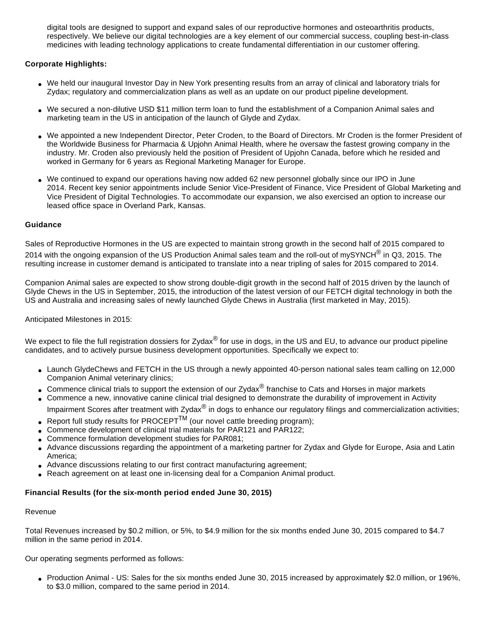digital tools are designed to support and expand sales of our reproductive hormones and osteoarthritis products, respectively. We believe our digital technologies are a key element of our commercial success, coupling best-in-class medicines with leading technology applications to create fundamental differentiation in our customer offering.

## **Corporate Highlights:**

- We held our inaugural Investor Day in New York presenting results from an array of clinical and laboratory trials for Zydax; regulatory and commercialization plans as well as an update on our product pipeline development.
- We secured a non-dilutive USD \$11 million term loan to fund the establishment of a Companion Animal sales and marketing team in the US in anticipation of the launch of Glyde and Zydax.
- We appointed a new Independent Director, Peter Croden, to the Board of Directors. Mr Croden is the former President of the Worldwide Business for Pharmacia & Upjohn Animal Health, where he oversaw the fastest growing company in the industry. Mr. Croden also previously held the position of President of Upjohn Canada, before which he resided and worked in Germany for 6 years as Regional Marketing Manager for Europe.
- We continued to expand our operations having now added 62 new personnel globally since our IPO in June 2014. Recent key senior appointments include Senior Vice-President of Finance, Vice President of Global Marketing and Vice President of Digital Technologies. To accommodate our expansion, we also exercised an option to increase our leased office space in Overland Park, Kansas.

#### **Guidance**

Sales of Reproductive Hormones in the US are expected to maintain strong growth in the second half of 2015 compared to 2014 with the ongoing expansion of the US Production Animal sales team and the roll-out of mySYNCH® in Q3, 2015. The resulting increase in customer demand is anticipated to translate into a near tripling of sales for 2015 compared to 2014.

Companion Animal sales are expected to show strong double-digit growth in the second half of 2015 driven by the launch of Glyde Chews in the US in September, 2015, the introduction of the latest version of our FETCH digital technology in both the US and Australia and increasing sales of newly launched Glyde Chews in Australia (first marketed in May, 2015).

#### Anticipated Milestones in 2015:

We expect to file the full registration dossiers for Zydax<sup>®</sup> for use in dogs, in the US and EU, to advance our product pipeline candidates, and to actively pursue business development opportunities. Specifically we expect to:

- Launch GlydeChews and FETCH in the US through a newly appointed 40-person national sales team calling on 12,000 Companion Animal veterinary clinics;
- Commence clinical trials to support the extension of our Zydax $^{\circledR}$  franchise to Cats and Horses in maior markets
- Commence a new, innovative canine clinical trial designed to demonstrate the durability of improvement in Activity Impairment Scores after treatment with Zydax® in dogs to enhance our regulatory filings and commercialization activities;
- Report full study results for PROCEPT<sup>TM</sup> (our novel cattle breeding program);
- Commence development of clinical trial materials for PAR121 and PAR122;
- Commence formulation development studies for PAR081;
- Advance discussions regarding the appointment of a marketing partner for Zydax and Glyde for Europe, Asia and Latin America;
- Advance discussions relating to our first contract manufacturing agreement;
- Reach agreement on at least one in-licensing deal for a Companion Animal product.

# **Financial Results (for the six-month period ended June 30, 2015)**

#### Revenue

Total Revenues increased by \$0.2 million, or 5%, to \$4.9 million for the six months ended June 30, 2015 compared to \$4.7 million in the same period in 2014.

Our operating segments performed as follows:

• Production Animal - US: Sales for the six months ended June 30, 2015 increased by approximately \$2.0 million, or 196%, to \$3.0 million, compared to the same period in 2014.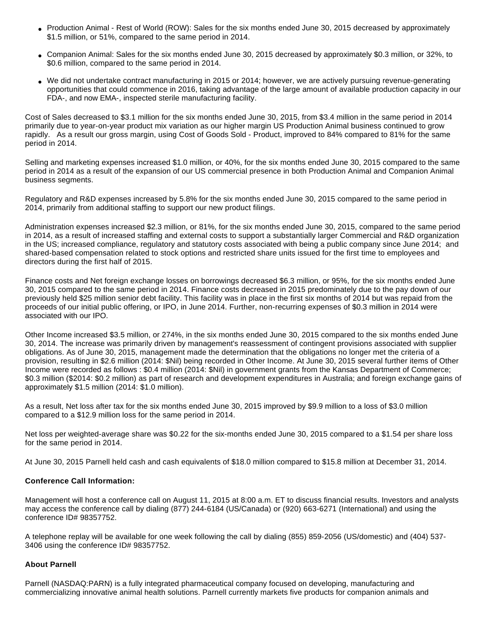- Production Animal Rest of World (ROW): Sales for the six months ended June 30, 2015 decreased by approximately \$1.5 million, or 51%, compared to the same period in 2014.
- Companion Animal: Sales for the six months ended June 30, 2015 decreased by approximately \$0.3 million, or 32%, to \$0.6 million, compared to the same period in 2014.
- We did not undertake contract manufacturing in 2015 or 2014; however, we are actively pursuing revenue-generating opportunities that could commence in 2016, taking advantage of the large amount of available production capacity in our FDA-, and now EMA-, inspected sterile manufacturing facility.

Cost of Sales decreased to \$3.1 million for the six months ended June 30, 2015, from \$3.4 million in the same period in 2014 primarily due to year-on-year product mix variation as our higher margin US Production Animal business continued to grow rapidly. As a result our gross margin, using Cost of Goods Sold - Product, improved to 84% compared to 81% for the same period in 2014.

Selling and marketing expenses increased \$1.0 million, or 40%, for the six months ended June 30, 2015 compared to the same period in 2014 as a result of the expansion of our US commercial presence in both Production Animal and Companion Animal business segments.

Regulatory and R&D expenses increased by 5.8% for the six months ended June 30, 2015 compared to the same period in 2014, primarily from additional staffing to support our new product filings.

Administration expenses increased \$2.3 million, or 81%, for the six months ended June 30, 2015, compared to the same period in 2014, as a result of increased staffing and external costs to support a substantially larger Commercial and R&D organization in the US; increased compliance, regulatory and statutory costs associated with being a public company since June 2014; and shared-based compensation related to stock options and restricted share units issued for the first time to employees and directors during the first half of 2015.

Finance costs and Net foreign exchange losses on borrowings decreased \$6.3 million, or 95%, for the six months ended June 30, 2015 compared to the same period in 2014. Finance costs decreased in 2015 predominately due to the pay down of our previously held \$25 million senior debt facility. This facility was in place in the first six months of 2014 but was repaid from the proceeds of our initial public offering, or IPO, in June 2014. Further, non-recurring expenses of \$0.3 million in 2014 were associated with our IPO.

Other Income increased \$3.5 million, or 274%, in the six months ended June 30, 2015 compared to the six months ended June 30, 2014. The increase was primarily driven by management's reassessment of contingent provisions associated with supplier obligations. As of June 30, 2015, management made the determination that the obligations no longer met the criteria of a provision, resulting in \$2.6 million (2014: \$Nil) being recorded in Other Income. At June 30, 2015 several further items of Other Income were recorded as follows : \$0.4 million (2014: \$Nil) in government grants from the Kansas Department of Commerce; \$0.3 million (\$2014: \$0.2 million) as part of research and development expenditures in Australia; and foreign exchange gains of approximately \$1.5 million (2014: \$1.0 million).

As a result, Net loss after tax for the six months ended June 30, 2015 improved by \$9.9 million to a loss of \$3.0 million compared to a \$12.9 million loss for the same period in 2014.

Net loss per weighted-average share was \$0.22 for the six-months ended June 30, 2015 compared to a \$1.54 per share loss for the same period in 2014.

At June 30, 2015 Parnell held cash and cash equivalents of \$18.0 million compared to \$15.8 million at December 31, 2014.

#### **Conference Call Information:**

Management will host a conference call on August 11, 2015 at 8:00 a.m. ET to discuss financial results. Investors and analysts may access the conference call by dialing (877) 244-6184 (US/Canada) or (920) 663-6271 (International) and using the conference ID# 98357752.

A telephone replay will be available for one week following the call by dialing (855) 859-2056 (US/domestic) and (404) 537- 3406 using the conference ID# 98357752.

#### **About Parnell**

Parnell (NASDAQ:PARN) is a fully integrated pharmaceutical company focused on developing, manufacturing and commercializing innovative animal health solutions. Parnell currently markets five products for companion animals and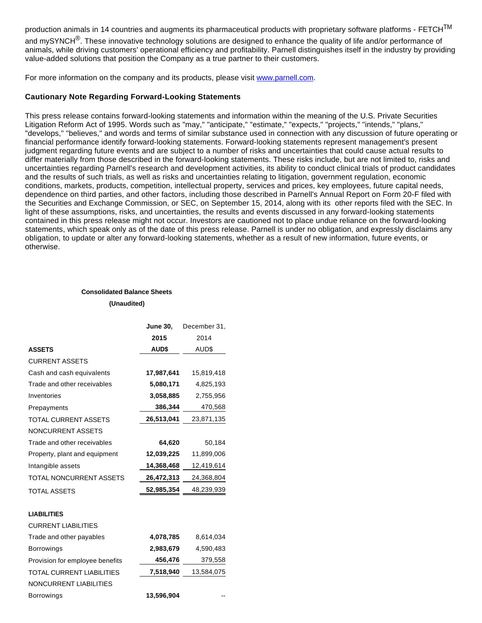production animals in 14 countries and augments its pharmaceutical products with proprietary software platforms - FETCH<sup>TM</sup> and mySYNCH<sup>®</sup>. These innovative technology solutions are designed to enhance the quality of life and/or performance of animals, while driving customers' operational efficiency and profitability. Parnell distinguishes itself in the industry by providing value-added solutions that position the Company as a true partner to their customers.

For more information on the company and its products, please visit [www.parnell.com](http://www.globenewswire.com/newsroom/ctr?d=10145450&l=31&a=www.parnell.com&u=http%3A%2F%2Fwww.parnell.com%2F).

### **Cautionary Note Regarding Forward-Looking Statements**

This press release contains forward-looking statements and information within the meaning of the U.S. Private Securities Litigation Reform Act of 1995. Words such as "may," "anticipate," "estimate," "expects," "projects," "intends," "plans," "develops," "believes," and words and terms of similar substance used in connection with any discussion of future operating or financial performance identify forward-looking statements. Forward-looking statements represent management's present judgment regarding future events and are subject to a number of risks and uncertainties that could cause actual results to differ materially from those described in the forward-looking statements. These risks include, but are not limited to, risks and uncertainties regarding Parnell's research and development activities, its ability to conduct clinical trials of product candidates and the results of such trials, as well as risks and uncertainties relating to litigation, government regulation, economic conditions, markets, products, competition, intellectual property, services and prices, key employees, future capital needs, dependence on third parties, and other factors, including those described in Parnell's Annual Report on Form 20-F filed with the Securities and Exchange Commission, or SEC, on September 15, 2014, along with its other reports filed with the SEC. In light of these assumptions, risks, and uncertainties, the results and events discussed in any forward-looking statements contained in this press release might not occur. Investors are cautioned not to place undue reliance on the forward-looking statements, which speak only as of the date of this press release. Parnell is under no obligation, and expressly disclaims any obligation, to update or alter any forward-looking statements, whether as a result of new information, future events, or otherwise.

## **Consolidated Balance Sheets (Unaudited)**

|                                  | <b>June 30,</b> | December 31, |
|----------------------------------|-----------------|--------------|
|                                  | 2015            | 2014         |
| <b>ASSETS</b>                    | <b>AUD\$</b>    | AUD\$        |
| <b>CURRENT ASSETS</b>            |                 |              |
| Cash and cash equivalents        | 17,987,641      | 15,819,418   |
| Trade and other receivables      | 5,080,171       | 4,825,193    |
| Inventories                      | 3,058,885       | 2,755,956    |
| Prepayments                      | 386,344         | 470,568      |
| TOTAL CURRENT ASSETS             | 26,513,041      | 23,871,135   |
| <b>NONCURRENT ASSETS</b>         |                 |              |
| Trade and other receivables      | 64,620          | 50,184       |
| Property, plant and equipment    | 12,039,225      | 11,899,006   |
| Intangible assets                | 14,368,468      | 12,419,614   |
| TOTAL NONCURRENT ASSETS          | 26,472,313      | 24,368,804   |
| <b>TOTAL ASSETS</b>              | 52,985,354      | 48,239,939   |
| <b>LIABILITIES</b>               |                 |              |
| <b>CURRENT LIABILITIES</b>       |                 |              |
| Trade and other payables         | 4,078,785       | 8,614,034    |
| <b>Borrowings</b>                | 2,983,679       | 4,590,483    |
| Provision for employee benefits  | 456,476         | 379,558      |
| <b>TOTAL CURRENT LIABILITIES</b> | 7,518,940       | 13,584,075   |
| NONCURRENT LIABILITIES           |                 |              |
| <b>Borrowings</b>                | 13,596,904      |              |
|                                  |                 |              |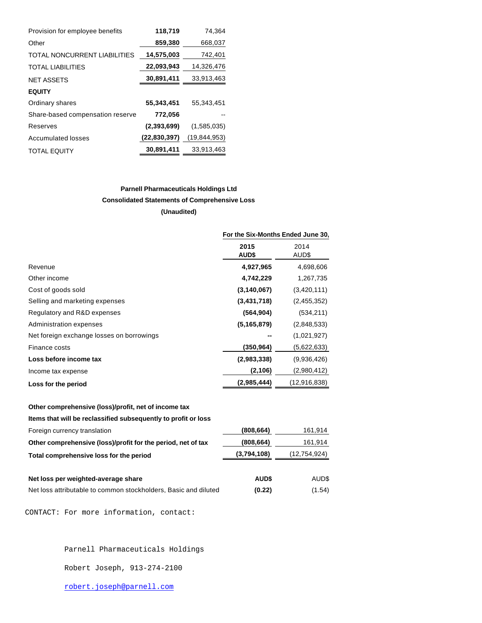| Provision for employee benefits  | 118,719      | 74,364         |
|----------------------------------|--------------|----------------|
| Other                            | 859,380      | 668,037        |
| TOTAL NONCURRENT LIABILITIES     | 14,575,003   | 742,401        |
| <b>TOTAL LIABILITIES</b>         | 22,093,943   | 14,326,476     |
| <b>NET ASSETS</b>                | 30,891,411   | 33,913,463     |
| <b>EQUITY</b>                    |              |                |
| Ordinary shares                  | 55,343,451   | 55,343,451     |
| Share-based compensation reserve | 772,056      |                |
| Reserves                         | (2,393,699)  | (1,585,035)    |
| Accumulated losses               | (22,830,397) | (19, 844, 953) |
| <b>TOTAL EQUITY</b>              | 30,891,411   | 33,913,463     |

# **Parnell Pharmaceuticals Holdings Ltd Consolidated Statements of Comprehensive Loss (Unaudited)**

|                                           | For the Six-Months Ended June 30, |               |
|-------------------------------------------|-----------------------------------|---------------|
|                                           | 2015<br><b>AUD\$</b>              | 2014<br>AUD\$ |
| Revenue                                   | 4,927,965                         | 4,698,606     |
| Other income                              | 4,742,229                         | 1,267,735     |
| Cost of goods sold                        | (3, 140, 067)                     | (3,420,111)   |
| Selling and marketing expenses            | (3,431,718)                       | (2,455,352)   |
| Regulatory and R&D expenses               | (564, 904)                        | (534, 211)    |
| Administration expenses                   | (5, 165, 879)                     | (2,848,533)   |
| Net foreign exchange losses on borrowings |                                   | (1,021,927)   |
| Finance costs                             | (350,964)                         | (5,622,633)   |
| Loss before income tax                    | (2,983,338)                       | (9,936,426)   |
| Income tax expense                        | (2,106)                           | (2,980,412)   |
| Loss for the period                       | (2,985,444)                       | (12,916,838)  |

#### **Other comprehensive (loss)/profit, net of income tax**

**Items that will be reclassified subsequently to profit or loss**

| Foreign currency translation                                 | (808, 664)  | 161,914        |
|--------------------------------------------------------------|-------------|----------------|
| Other comprehensive (loss)/profit for the period, net of tax | (808, 664)  | 161,914        |
| Total comprehensive loss for the period                      | (3,794,108) | (12, 754, 924) |
|                                                              |             |                |
| Net loss per weighted-average share                          | <b>AUDS</b> | AUD\$          |

| Net loss attributable to common stockholders, Basic and diluted | (0.22) | (1.54) |
|-----------------------------------------------------------------|--------|--------|
|                                                                 |        |        |

CONTACT: For more information, contact:

Parnell Pharmaceuticals Holdings

Robert Joseph, 913-274-2100

[robert.joseph@parnell.com](mailto:robert.joseph@parnell.com)